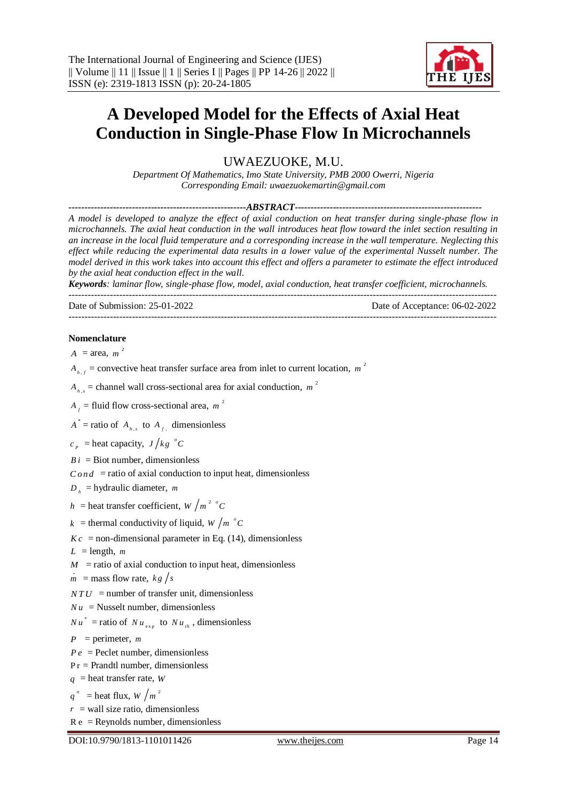

UWAEZUOKE, M.U.

*Department Of Mathematics, Imo State University, PMB 2000 Owerri, Nigeria Corresponding Email[: uwaezuokemartin@gmail.com](mailto:uwaezuokemartin@gmail.com)*

*--------------------------------------------------------ABSTRACT-----------------------------------------------------------*

*A model is developed to analyze the effect of axial conduction on heat transfer during single-phase flow in microchannels. The axial heat conduction in the wall introduces heat flow toward the inlet section resulting in an increase in the local fluid temperature and a corresponding increase in the wall temperature. Neglecting this effect while reducing the experimental data results in a lower value of the experimental Nusselt number. The model derived in this work takes into account this effect and offers a parameter to estimate the effect introduced by the axial heat conduction effect in the wall.*

*Keywords: laminar flow, single-phase flow, model, axial conduction, heat transfer coefficient, microchannels.* ---------------------------------------------------------------------------------------------------------------------------------------

---------------------------------------------------------------------------------------------------------------------------------------

Date of Submission: 25-01-2022 Date of Acceptance: 06-02-2022

#### **Nomenclature**

 $A = \text{area}, m^2$ 

 $A_{h,f}$  = convective heat transfer surface area from inlet to current location,  $m<sup>2</sup>$ 

 $A_{h,s}$  = channel wall cross-sectional area for axial conduction,  $m^2$ 

 $A_f$  = fluid flow cross-sectional area,  $m^2$ 

 $A^*$  = ratio of  $A_{h,s}$  to  $A_{f,s}$  dimensionless

 $c_p$  = heat capacity,  $J / kg^{\circ}C$ 

 $B_i$  = Biot number, dimensionless

 $C \cdot o \cdot d$  = ratio of axial conduction to input heat, dimensionless

 $D_h$  = hydraulic diameter, *m* 

- $h =$  heat transfer coefficient,  $W/m^{2}$  <sup>o</sup> *C*
- $k =$  thermal conductivity of liquid,  $W/m^{\circ}C$

 $Kc$  = non-dimensional parameter in Eq. (14), dimensionless

 $L =$  length,  $m$ 

 $M$  = ratio of axial conduction to input heat, dimensionless

 $\dot{m}$  = mass flow rate,  $kg/s$ 

 $NTU$  = number of transfer unit, dimensionless

 $Nu =$  Nusselt number, dimensionless

 $Nu^*$  = ratio of *Nu*<sub>exp</sub> to *Nu*<sub>th</sub>, dimensionless

 $P =$  perimeter, *m* 

*Pe* = Peclet number, dimensionless

Pr = Prandtl number, dimensionless

*q* = heat transfer rate, *W*

 $q^n$  = heat flux,  $W/m^2$ 

 $r =$  wall size ratio, dimensionless

 $R e$  = Reynolds number, dimensionless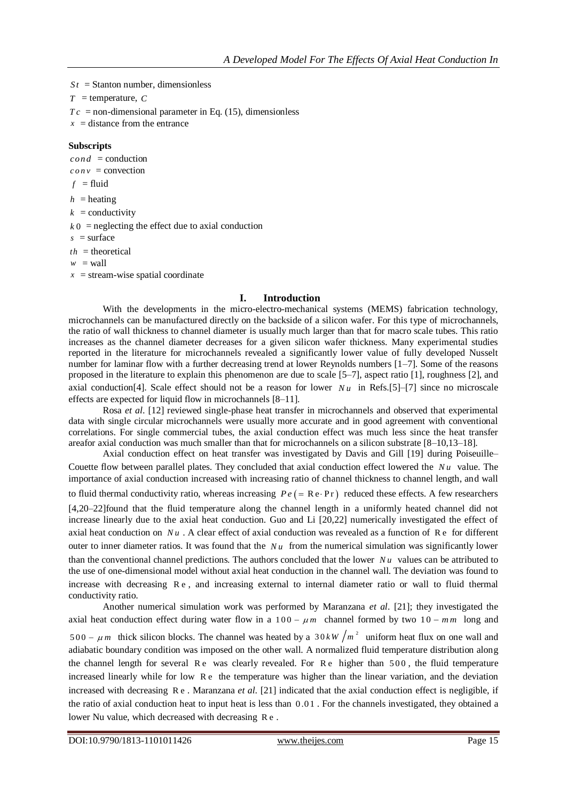$St =$ Stanton number, dimensionless

 $T =$  temperature,  $C$ 

- $T_c$  = non-dimensional parameter in Eq. (15), dimensionless
- $x =$  distance from the entrance

# **Subscripts**

 $\dot{c} \, \dot{o} \, \dot{n} \, \dot{d}$  = conduction  $\cos$  *c o n v* = convection  $f = fluid$  $h$  = heating  $k =$  conductivity  $k0$  = neglecting the effect due to axial conduction  $s =$ surface  $th =$ theoretical  $w =$  wall  $x =$ stream-wise spatial coordinate

# **I. Introduction**

With the developments in the micro-electro-mechanical systems (MEMS) fabrication technology, microchannels can be manufactured directly on the backside of a silicon wafer. For this type of microchannels, the ratio of wall thickness to channel diameter is usually much larger than that for macro scale tubes. This ratio increases as the channel diameter decreases for a given silicon wafer thickness. Many experimental studies reported in the literature for microchannels revealed a significantly lower value of fully developed Nusselt number for laminar flow with a further decreasing trend at lower Reynolds numbers [1–7]. Some of the reasons proposed in the literature to explain this phenomenon are due to scale [5–7], aspect ratio [1], roughness [2], and axial conduction<sup>[4]</sup>. Scale effect should not be a reason for lower  $Nu$  in Refs.[5]–[7] since no microscale effects are expected for liquid flow in microchannels [8–11].

Rosa *et al*. [12] reviewed single-phase heat transfer in microchannels and observed that experimental data with single circular microchannels were usually more accurate and in good agreement with conventional correlations. For single commercial tubes, the axial conduction effect was much less since the heat transfer areafor axial conduction was much smaller than that for microchannels on a silicon substrate [8–10,13–18].

Axial conduction effect on heat transfer was investigated by Davis and Gill [19] during Poiseuille– Couette flow between parallel plates. They concluded that axial conduction effect lowered the *Nu* value. The importance of axial conduction increased with increasing ratio of channel thickness to channel length, and wall to fluid thermal conductivity ratio, whereas increasing  $Pe (= Re Pr)$  reduced these effects. A few researchers [4,20–22]found that the fluid temperature along the channel length in a uniformly heated channel did not increase linearly due to the axial heat conduction. Guo and Li [20,22] numerically investigated the effect of axial heat conduction on  $Nu$ . A clear effect of axial conduction was revealed as a function of  $Re$  for different outer to inner diameter ratios. It was found that the  $Nu$  from the numerical simulation was significantly lower than the conventional channel predictions. The authors concluded that the lower  $Nu$  values can be attributed to the use of one-dimensional model without axial heat conduction in the channel wall. The deviation was found to increase with decreasing Re , and increasing external to internal diameter ratio or wall to fluid thermal conductivity ratio.

Another numerical simulation work was performed by Maranzana *et al*. [21]; they investigated the axial heat conduction effect during water flow in a  $100 - \mu m$  channel formed by two  $10 - \mu m$  long and 500 –  $\mu$  m thick silicon blocks. The channel was heated by a 30 kW /m<sup>2</sup> uniform heat flux on one wall and adiabatic boundary condition was imposed on the other wall. A normalized fluid temperature distribution along the channel length for several Re was clearly revealed. For Re higher than 500 , the fluid temperature increased linearly while for low Re the temperature was higher than the linear variation, and the deviation increased with decreasing Re . Maranzana *et al*. [21] indicated that the axial conduction effect is negligible, if the ratio of axial conduction heat to input heat is less than 0.01 . For the channels investigated, they obtained a lower Nu value, which decreased with decreasing Re.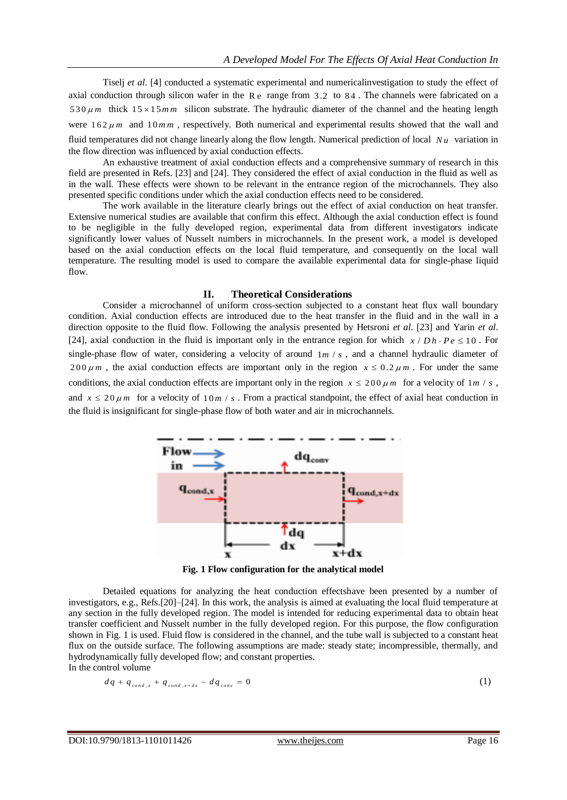Tiselj *et al*. [4] conducted a systematic experimental and numericalinvestigation to study the effect of axial conduction through silicon wafer in the Re range from 3.2 to 84. The channels were fabricated on a 530  $\mu$  m thick  $15 \times 15$  mm silicon substrate. The hydraulic diameter of the channel and the heating length were  $162 \mu m$  and  $10mm$ , respectively. Both numerical and experimental results showed that the wall and fluid temperatures did not change linearly along the flow length. Numerical prediction of local  $Nu$  variation in the flow direction was influenced by axial conduction effects.

An exhaustive treatment of axial conduction effects and a comprehensive summary of research in this field are presented in Refs. [23] and [24]. They considered the effect of axial conduction in the fluid as well as in the wall. These effects were shown to be relevant in the entrance region of the microchannels. They also presented specific conditions under which the axial conduction effects need to be considered.

The work available in the literature clearly brings out the effect of axial conduction on heat transfer. Extensive numerical studies are available that confirm this effect. Although the axial conduction effect is found to be negligible in the fully developed region, experimental data from different investigators indicate significantly lower values of Nusselt numbers in microchannels. In the present work, a model is developed based on the axial conduction effects on the local fluid temperature, and consequently on the local wall temperature. The resulting model is used to compare the available experimental data for single-phase liquid flow.

#### **II. Theoretical Considerations**

Consider a microchannel of uniform cross-section subjected to a constant heat flux wall boundary condition. Axial conduction effects are introduced due to the heat transfer in the fluid and in the wall in a direction opposite to the fluid flow. Following the analysis presented by Hetsroni *et al*. [23] and Yarin *et al*. [24], axial conduction in the fluid is important only in the entrance region for which  $x / Dh \cdot Pe \le 10$ . For single-phase flow of water, considering a velocity of around  $1m/s$ , and a channel hydraulic diameter of 200  $\mu$ m, the axial conduction effects are important only in the region  $x \le 0.2 \mu$ m. For under the same conditions, the axial conduction effects are important only in the region  $x \le 200 \mu m$  for a velocity of  $1m / s$ , and  $x \le 20 \mu m$  for a velocity of  $10 m / s$ . From a practical standpoint, the effect of axial heat conduction in the fluid is insignificant for single-phase flow of both water and air in microchannels.



**Fig. 1 Flow configuration for the analytical model**

Detailed equations for analyzing the heat conduction effectshave been presented by a number of investigators, e.g., Refs.[20]–[24]. In this work, the analysis is aimed at evaluating the local fluid temperature at any section in the fully developed region. The model is intended for reducing experimental data to obtain heat transfer coefficient and Nusselt number in the fully developed region. For this purpose, the flow configuration shown in Fig. 1 is used. Fluid flow is considered in the channel, and the tube wall is subjected to a constant heat flux on the outside surface. The following assumptions are made: steady state; incompressible, thermally, and hydrodynamically fully developed flow; and constant properties.

In the control volume

$$
dq + q_{\text{cond},x} + q_{\text{cond},x+dx} - dq_{\text{conv}} = 0 \tag{1}
$$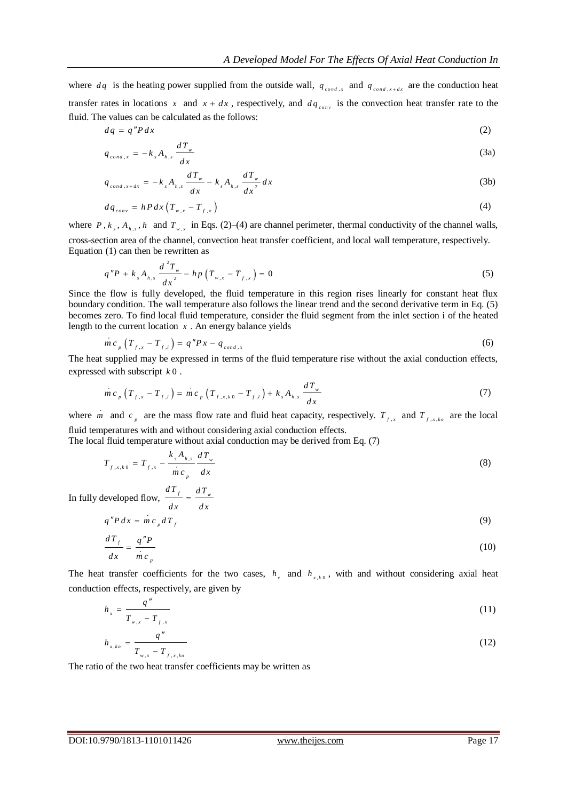where  $dq$  is the heating power supplied from the outside wall,  $q_{cond,x}$  and  $q_{cond,x+dx}$  are the conduction heat transfer rates in locations x and  $x + dx$ , respectively, and  $dq_{conv}$  is the convection heat transfer rate to the fluid. The values can be calculated as the follows:

$$
dq = q''P dx \tag{2}
$$

$$
q_{\text{cond},x} = -k_s A_{h,s} \frac{dT_w}{dx} \tag{3a}
$$

$$
d x
$$
  
 
$$
q_{cond,x+dx} = -k_s A_{h,s} \frac{d T_w}{dx} - k_s A_{h,s} \frac{d T_w}{dx^2} dx
$$
 (3b)

$$
dq_{conv} = hP dx \left( T_{w,x} - T_{f,x} \right) \tag{4}
$$

where P,  $k_s$ ,  $A_{h,s}$ , h and  $T_{w,s}$  in Eqs. (2)–(4) are channel perimeter, thermal conductivity of the channel walls, cross-section area of the channel, convection heat transfer coefficient, and local wall temperature, respectively.

Equation (1) can then be rewritten as  
\n
$$
q''P + k_s A_{h,s} \frac{d^2 T_w}{dx^2} - h p \left( T_{w,x} - T_{f,x} \right) = 0
$$
\n(5)

Since the flow is fully developed, the fluid temperature in this region rises linearly for constant heat flux boundary condition. The wall temperature also follows the linear trend and the second derivative term in Eq. (5) becomes zero. To find local fluid temperature, consider the fluid segment from the inlet section i of the heated length to the current location  $x$ . An energy balance yields

$$
mc_p \left( T_{f.x} - T_{f.i} \right) = q''Px - q_{cond.x} \tag{6}
$$

The heat supplied may be expressed in terms of the fluid temperature rise without the axial conduction effects, expressed with subscript *k* 0 .

$$
\text{1 with subscript } k \text{ 0.}
$$
\n
$$
\dot{m} c_p \left( T_{f,x} - T_{f,i} \right) = \dot{m} c_p \left( T_{f,x,k0} - T_{f,i} \right) + k_s A_{h,s} \frac{dT_w}{dx} \tag{7}
$$

where *m* and  $c_p$  are the mass flow rate and fluid heat capacity, respectively.  $T_{f,x}$  and  $T_{f,x,k_o}$  are the local fluid temperatures with and without considering axial conduction effects.

The local fluid temperature without axial conduction may be derived from Eq. (7)

$$
T_{f,x,k0} = T_{f,x} - \frac{k_s A_{h,s}}{\dot{m}c_p} \frac{dT_w}{dx}
$$
 (8)

In fully developed flow,  $\frac{dT_f}{T} = \frac{dT_w}{T}$ *d x d x* =

$$
q''P\,dx = m\,c_p\,dT_f\tag{9}
$$

$$
\frac{dT_f}{dx} = \frac{q''P}{\dot{m}c_p} \tag{10}
$$

The heat transfer coefficients for the two cases,  $h_x$  and  $h_{x,k0}$ , with and without considering axial heat conduction effects, respectively, are given by

$$
h_x = \frac{q''}{T_{w,x} - T_{f,x}}\tag{11}
$$

$$
h_{x,ko} = \frac{q''}{T_{w,x} - T_{f,x,ko}}
$$
 (12)

The ratio of the two heat transfer coefficients may be written as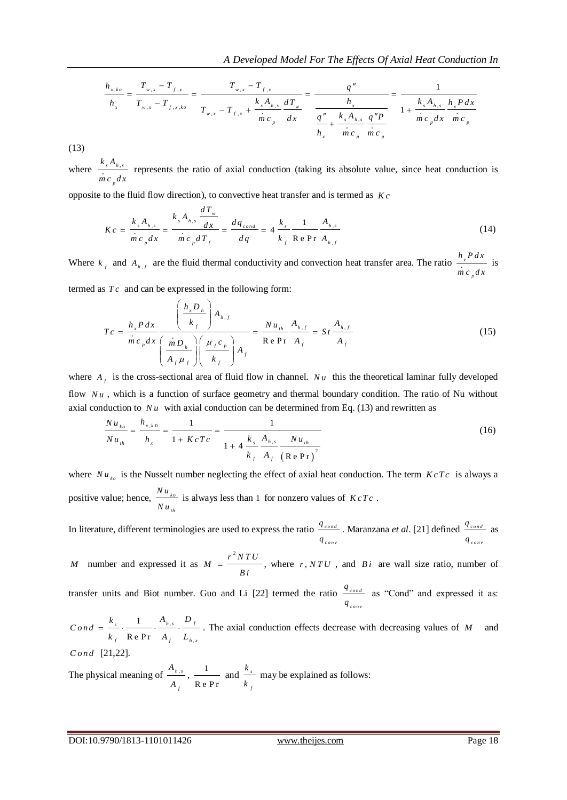$$
\frac{h_{x,k_o}}{h_x} = \frac{T_{w,x} - T_{f,x}}{T_{w,x} - T_{f,x,k_o}} = \frac{T_{w,x} - T_{f,x}}{T_{w,x} - T_{f,x} + \frac{k_s A_{h,s}}{mc_p} \frac{dT_w}{dx}} = \frac{q''}{\frac{h_x}{\frac{H_x}{m} + \frac{k_s A_{h,s}}{mc_p} \frac{q''P}{dx}}} = \frac{1}{1 + \frac{k_s A_{h,s}}{mc_p dx} \frac{h_x P dx}{mc_p dx}}
$$

(13)

where  $\frac{R_{s}R_{h,s}}{s}$ *p k A*  $mc_{n}dx$ represents the ratio of axial conduction (taking its absolute value, since heat conduction is

% opposite to the fluid flow direction), to convective heat transfer and is termed as  $Kc$  *d*  $\frac{dT_w}{dT_w}$ 

$$
Kc = \frac{k_s A_{h,s}}{mc_p dx} = \frac{k_s A_{h,s} \frac{dT_w}{dx}}{mc_p dT_f} = \frac{dq_{cond}}{dq} = 4 \frac{k_s}{k_f} \frac{1}{Re Pr} \frac{A_{h,s}}{A_{h,f}}
$$
(14)

Where  $k_f$  and  $A_{h,f}$  are the fluid thermal conductivity and convection heat transfer area. The ratio  $\frac{A_{h,f}}{A}$ *p h P d x*  $mc_{n}dx$ is

termed as 
$$
Tc
$$
 and can be expressed in the following form:  
\n
$$
Tc = \frac{h_x P dx}{\dot{m} c_p dx} \frac{\left(\frac{h_x D_h}{k_f}\right) A_{h,f}}{\left(\frac{\dot{m} D_h}{A_f \mu_f}\right) \left(\frac{\mu_f c_p}{k_f}\right) A_f} = \frac{Nu_{th}}{Re Pr} \frac{A_{h,f}}{A_f} = St \frac{A_{h,f}}{A_f}
$$
\n(15)

where  $A_f$  is the cross-sectional area of fluid flow in channel. Nu this the theoretical laminar fully developed flow *Nu*, which is a function of surface geometry and thermal boundary condition. The ratio of Nu without

axial conduction to 
$$
Nu
$$
 with axial conduction can be determined from Eq. (13) and rewritten as\n
$$
\frac{Nu_{k_o}}{Nu_{th}} = \frac{h_{x,k0}}{h_x} = \frac{1}{1 + KcTc} = \frac{1}{1 + 4\frac{k_x}{k_f}\frac{A_{h,s}}{A_f}\frac{Nu_{th}}{(Re\ Pr)^2}}
$$
\n(16)

where  $Nu_{k_o}$  is the Nusselt number neglecting the effect of axial heat conduction. The term  $KcTc$  is always a positive value; hence,  $\frac{N_{k_0}}{k_0}$ *th Nu Nu* is always less than 1 for nonzero values of  $KcTc$ .

In literature, different terminologies are used to express the ratio  $\frac{q_{cond}}{q_{cond}}$ *c o n v q q* . Maranzana *et al.* [21] defined  $\frac{q_{cond}}{q}$ *c o n v q q* as

*M* number and expressed it as  $M = \frac{r^2 N T U}{r^2}$ *B i*  $=$   $\frac{1}{\sqrt{2\pi}}$ , where r, NTU, and Bi are wall size ratio, number of

transfer units and Biot number. Guo and Li  $[22]$  termed the ratio  $\frac{q_{cond}}{q_{cond}}$ *c o n v q q* as "Cond" and expressed it as:

, , 1 R e Pr  $A_{h,s}$  *D*<sub>*f*</sub>  $f$  RePr  $A_f$   $L_{h,x}$  $C$ *ond* =  $\frac{k_s}{k}$ .  $\frac{1}{k_{h,s}}$ .  $\frac{A_{h,s}}{k}$ .  $\frac{1}{k_f}$ . Re Pr.  $\frac{1}{A_f}$ .  $\frac{1}{L}$  $=\frac{k_s}{s} \cdot \frac{1}{s} \cdot \frac{A_{h,s}}{s} \cdot \frac{D_f}{s}$ . The axial conduction effects decrease with decreasing values of M and *C o n d* [21,22].

The physical meaning of  $\frac{A_{h,s}}{h}$ *f A A*  $\frac{1}{\sqrt{1-\frac{1}{2}}}$ R e P r and  $\frac{R}{s}$ *f k k* may be explained as follows: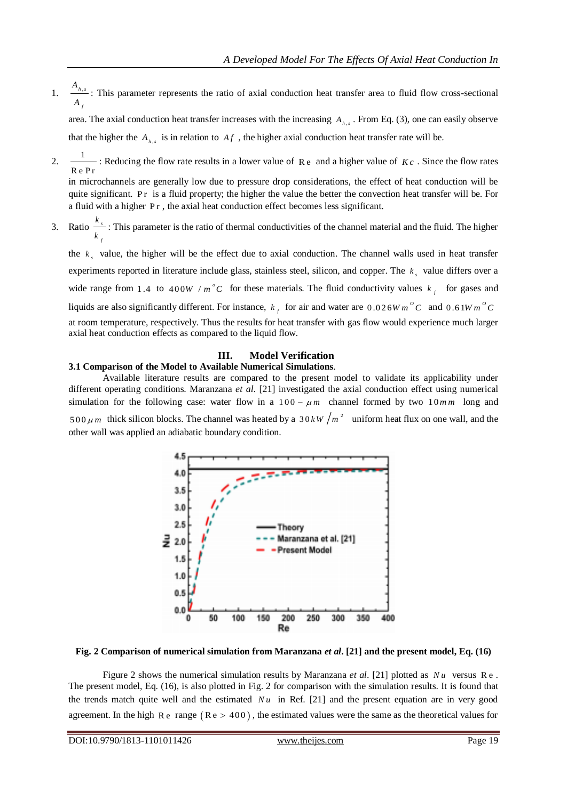1. *h s*, *A f A* : This parameter represents the ratio of axial conduction heat transfer area to fluid flow cross-sectional

area. The axial conduction heat transfer increases with the increasing  $A_{h,s}$ . From Eq. (3), one can easily observe that the higher the  $A_{h,s}$  is in relation to  $Af$ , the higher axial conduction heat transfer rate will be.

2. 1 R e P r : Reducing the flow rate results in a lower value of Re and a higher value of *Kc* . Since the flow rates in microchannels are generally low due to pressure drop considerations, the effect of heat conduction will be

quite significant. Pr is a fluid property; the higher the value the better the convection heat transfer will be. For a fluid with a higher Pr , the axial heat conduction effect becomes less significant.

3. Ratio  $\frac{k_s}{n}$ : This parameter is the ratio of thermal conductivities of the channel material and the fluid. The higher *f k*

the  $k<sub>s</sub>$  value, the higher will be the effect due to axial conduction. The channel walls used in heat transfer experiments reported in literature include glass, stainless steel, silicon, and copper. The *s k* value differs over a wide range from 1.4 to 400W /  $m^{\circ}C$  for these materials. The fluid conductivity values  $k_f$  for gases and liquids are also significantly different. For instance,  $k_f$  for air and water are 0.026W  $m^o C$  and 0.61W  $m^o C$ at room temperature, respectively. Thus the results for heat transfer with gas flow would experience much larger axial heat conduction effects as compared to the liquid flow.

## **III. Model Verification**

## **3.1 Comparison of the Model to Available Numerical Simulations**.

Available literature results are compared to the present model to validate its applicability under different operating conditions. Maranzana *et al*. [21] investigated the axial conduction effect using numerical simulation for the following case: water flow in a  $100 - \mu m$  channel formed by two  $10mm$  long and 500  $\mu$  m thick silicon blocks. The channel was heated by a 30 kW  $/m^2$  uniform heat flux on one wall, and the other wall was applied an adiabatic boundary condition.



**Fig. 2 Comparison of numerical simulation from Maranzana** *et al***. [21] and the present model, Eq. (16)**

Figure 2 shows the numerical simulation results by Maranzana *et al.* [21] plotted as  $Nu$  versus Re. The present model, Eq. (16), is also plotted in Fig. 2 for comparison with the simulation results. It is found that the trends match quite well and the estimated  $Nu$  in Ref. [21] and the present equation are in very good agreement. In the high  $\text{Re}$  range  $(\text{Re} > 400)$ , the estimated values were the same as the theoretical values for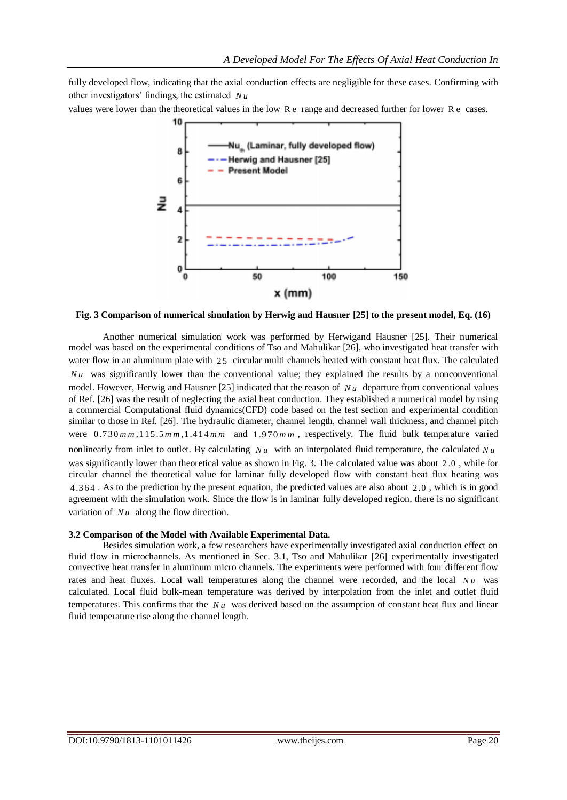fully developed flow, indicating that the axial conduction effects are negligible for these cases. Confirming with other investigators' findings, the estimated *Nu*

values were lower than the theoretical values in the low R e range and decreased further for lower R e cases.



**Fig. 3 Comparison of numerical simulation by Herwig and Hausner [25] to the present model, Eq. (16)**

Another numerical simulation work was performed by Herwigand Hausner [25]. Their numerical model was based on the experimental conditions of Tso and Mahulikar [26], who investigated heat transfer with water flow in an aluminum plate with 25 circular multi channels heated with constant heat flux. The calculated *Nu* was significantly lower than the conventional value; they explained the results by a nonconventional model. However, Herwig and Hausner [25] indicated that the reason of Nu departure from conventional values of Ref. [26] was the result of neglecting the axial heat conduction. They established a numerical model by using a commercial Computational fluid dynamics(CFD) code based on the test section and experimental condition similar to those in Ref. [26]. The hydraulic diameter, channel length, channel wall thickness, and channel pitch were  $0.730 \, \text{m/m}, 115.5 \, \text{m/m}, 1.414 \, \text{m/m}$  and  $1.970 \, \text{m/m}$ , respectively. The fluid bulk temperature varied nonlinearly from inlet to outlet. By calculating  $Nu$  with an interpolated fluid temperature, the calculated  $Nu$ was significantly lower than theoretical value as shown in Fig. 3. The calculated value was about 2.0, while for circular channel the theoretical value for laminar fully developed flow with constant heat flux heating was 4 .3 6 4 . As to the prediction by the present equation, the predicted values are also about 2 .0 , which is in good agreement with the simulation work. Since the flow is in laminar fully developed region, there is no significant variation of  $Nu$  along the flow direction.

## **3.2 Comparison of the Model with Available Experimental Data.**

Besides simulation work, a few researchers have experimentally investigated axial conduction effect on fluid flow in microchannels. As mentioned in Sec. 3.1, Tso and Mahulikar [26] experimentally investigated convective heat transfer in aluminum micro channels. The experiments were performed with four different flow rates and heat fluxes. Local wall temperatures along the channel were recorded, and the local Nu was calculated. Local fluid bulk-mean temperature was derived by interpolation from the inlet and outlet fluid temperatures. This confirms that the  $Nu$  was derived based on the assumption of constant heat flux and linear fluid temperature rise along the channel length.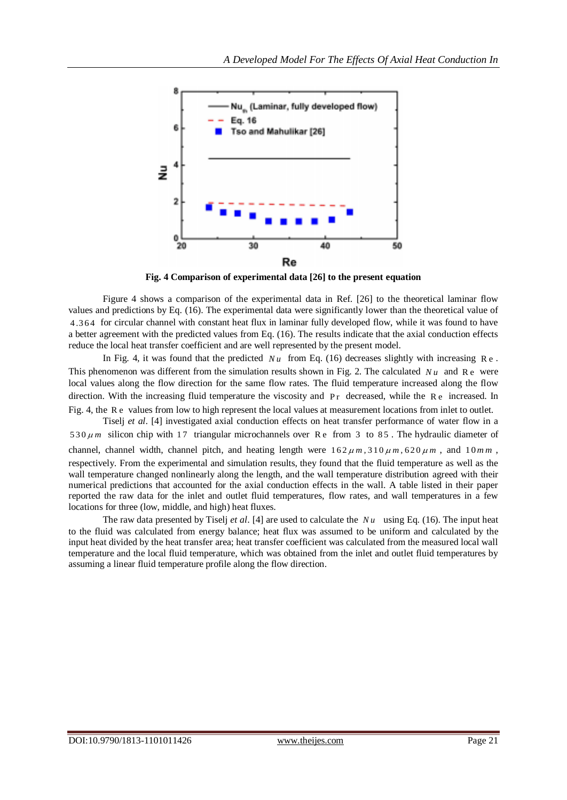

**Fig. 4 Comparison of experimental data [26] to the present equation**

Figure 4 shows a comparison of the experimental data in Ref. [26] to the theoretical laminar flow values and predictions by Eq. (16). The experimental data were significantly lower than the theoretical value of 4.364 for circular channel with constant heat flux in laminar fully developed flow, while it was found to have a better agreement with the predicted values from Eq. (16). The results indicate that the axial conduction effects reduce the local heat transfer coefficient and are well represented by the present model.

In Fig. 4, it was found that the predicted  $Nu$  from Eq. (16) decreases slightly with increasing Re. This phenomenon was different from the simulation results shown in Fig. 2. The calculated  $Nu$  and  $Re$  were local values along the flow direction for the same flow rates. The fluid temperature increased along the flow direction. With the increasing fluid temperature the viscosity and Pr decreased, while the Re increased. In Fig. 4, the Re values from low to high represent the local values at measurement locations from inlet to outlet.

Tiselj *et al*. [4] investigated axial conduction effects on heat transfer performance of water flow in a 530  $\mu$  m silicon chip with 17 triangular microchannels over Re from 3 to 85. The hydraulic diameter of channel, channel width, channel pitch, and heating length were  $162 \mu m$ ,  $310 \mu m$ ,  $620 \mu m$ , and  $10 mm$ , respectively. From the experimental and simulation results, they found that the fluid temperature as well as the wall temperature changed nonlinearly along the length, and the wall temperature distribution agreed with their numerical predictions that accounted for the axial conduction effects in the wall. A table listed in their paper reported the raw data for the inlet and outlet fluid temperatures, flow rates, and wall temperatures in a few locations for three (low, middle, and high) heat fluxes.

The raw data presented by Tiselj *et al.* [4] are used to calculate the  $Nu$  using Eq. (16). The input heat to the fluid was calculated from energy balance; heat flux was assumed to be uniform and calculated by the input heat divided by the heat transfer area; heat transfer coefficient was calculated from the measured local wall temperature and the local fluid temperature, which was obtained from the inlet and outlet fluid temperatures by assuming a linear fluid temperature profile along the flow direction.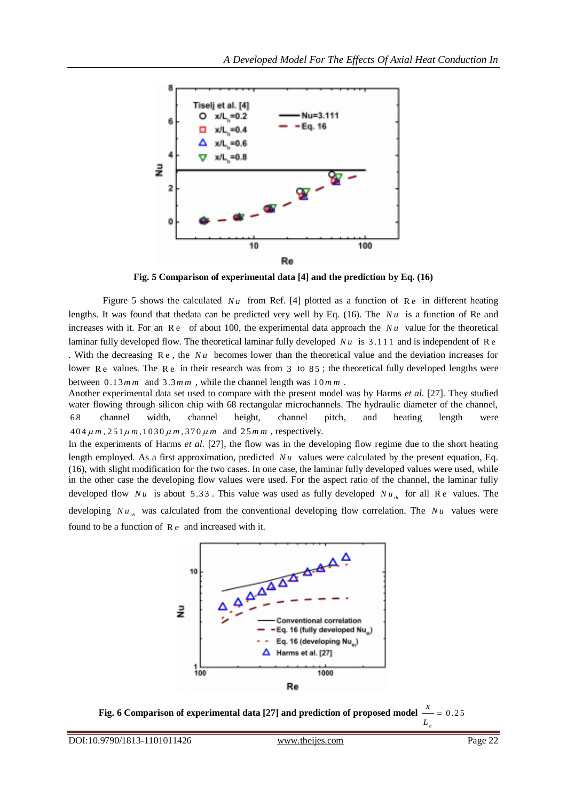

**Fig. 5 Comparison of experimental data [4] and the prediction by Eq. (16)**

Figure 5 shows the calculated  $Nu$  from Ref. [4] plotted as a function of Re in different heating lengths. It was found that thedata can be predicted very well by Eq. (16). The Nu is a function of Re and increases with it. For an  $\bf{R}$  e of about 100, the experimental data approach the  $Nu$  value for the theoretical laminar fully developed flow. The theoretical laminar fully developed  $Nu$  is 3.111 and is independent of Re . With the decreasing Re , the *Nu* becomes lower than the theoretical value and the deviation increases for lower R e values. The R e in their research was from 3 to 85; the theoretical fully developed lengths were between 0.13*mm* and 3.3*mm* , while the channel length was 10*mm* .

Another experimental data set used to compare with the present model was by Harms *et al*. [27]. They studied water flowing through silicon chip with 68 rectangular microchannels. The hydraulic diameter of the channel, 68 channel width, channel height, channel pitch, and heating length were  $404 \mu m, 251 \mu m, 1030 \mu m, 370 \mu m$  and  $25 mm$ , respectively.

In the experiments of Harms *et al*. [27], the flow was in the developing flow regime due to the short heating length employed. As a first approximation, predicted  $Nu$  values were calculated by the present equation, Eq. (16), with slight modification for the two cases. In one case, the laminar fully developed values were used, while in the other case the developing flow values were used. For the aspect ratio of the channel, the laminar fully developed flow  $Nu$  is about 5.33. This value was used as fully developed  $Nu$ <sub>th</sub> for all Re values. The developing  $Nu_{th}$  was calculated from the conventional developing flow correlation. The  $Nu$  values were found to be a function of Re and increased with it.



Fig. 6 Comparison of experimental data [27] and prediction of proposed model  $\frac{x}{x}$  = 0.25 *h L*  $=$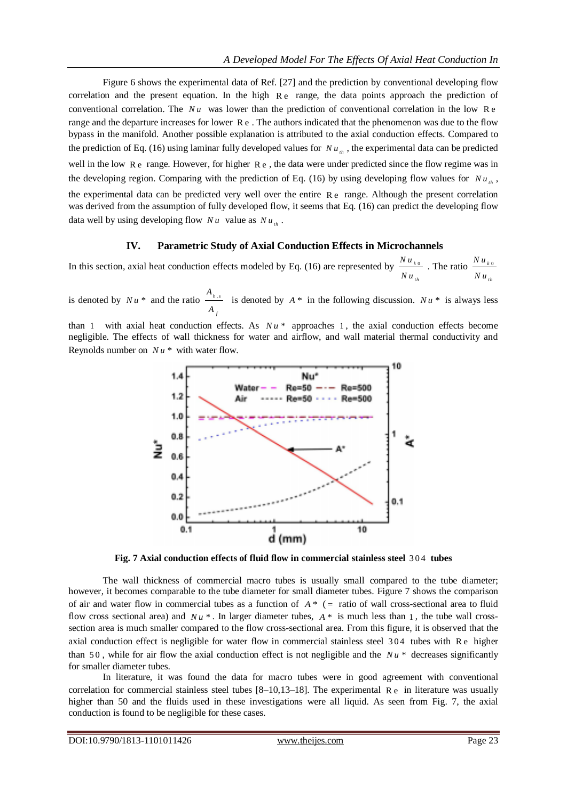Figure 6 shows the experimental data of Ref. [27] and the prediction by conventional developing flow correlation and the present equation. In the high Re range, the data points approach the prediction of conventional correlation. The  $Nu$  was lower than the prediction of conventional correlation in the low Re range and the departure increases for lower R e. The authors indicated that the phenomenon was due to the flow bypass in the manifold. Another possible explanation is attributed to the axial conduction effects. Compared to the prediction of Eq. (16) using laminar fully developed values for  $Nu_{th}$ , the experimental data can be predicted well in the low R e range. However, for higher R e , the data were under predicted since the flow regime was in the developing region. Comparing with the prediction of Eq. (16) by using developing flow values for  $Nu_{th}$ , the experimental data can be predicted very well over the entire Re range. Although the present correlation was derived from the assumption of fully developed flow, it seems that Eq. (16) can predict the developing flow data well by using developing flow  $Nu$  value as  $Nu$ <sub>th</sub>.

# **IV. Parametric Study of Axial Conduction Effects in Microchannels**

In this section, axial heat conduction effects modeled by Eq. (16) are represented by  $\frac{1}{\sqrt{2}}$ *th Nu Nu* . The ratio  $\frac{A^{n} k_0}{n}$ *th Nu Nu*

is denoted by  $Nu *$  and the ratio  $\frac{n_{h,s}}{n_{h,s}}$ *f A A* is denoted by  $A^*$  in the following discussion.  $Nu^*$  is always less

than 1 with axial heat conduction effects. As  $Nu*$  approaches 1, the axial conduction effects become negligible. The effects of wall thickness for water and airflow, and wall material thermal conductivity and Reynolds number on  $Nu$  \* with water flow.



**Fig. 7 Axial conduction effects of fluid flow in commercial stainless steel**  304 **tubes**

The wall thickness of commercial macro tubes is usually small compared to the tube diameter; however, it becomes comparable to the tube diameter for small diameter tubes. Figure 7 shows the comparison of air and water flow in commercial tubes as a function of  $A^*$  (= ratio of wall cross-sectional area to fluid flow cross sectional area) and  $Nu$  \*. In larger diameter tubes,  $A$  \* is much less than 1, the tube wall crosssection area is much smaller compared to the flow cross-sectional area. From this figure, it is observed that the axial conduction effect is negligible for water flow in commercial stainless steel 304 tubes with Re higher than 50, while for air flow the axial conduction effect is not negligible and the  $Nu$  \* decreases significantly for smaller diameter tubes.

In literature, it was found the data for macro tubes were in good agreement with conventional correlation for commercial stainless steel tubes [8–10,13–18]. The experimental Re in literature was usually higher than 50 and the fluids used in these investigations were all liquid. As seen from Fig. 7, the axial conduction is found to be negligible for these cases.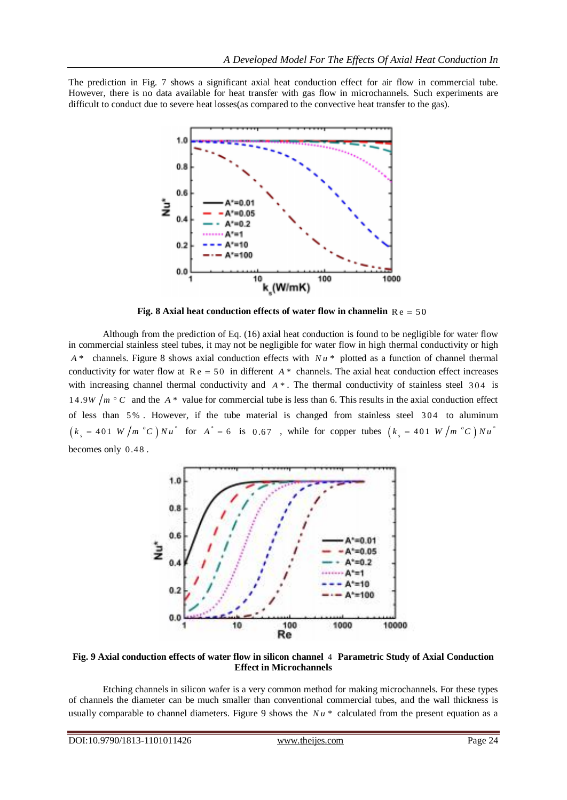The prediction in Fig. 7 shows a significant axial heat conduction effect for air flow in commercial tube. However, there is no data available for heat transfer with gas flow in microchannels. Such experiments are difficult to conduct due to severe heat losses(as compared to the convective heat transfer to the gas).



Fig. 8 Axial heat conduction effects of water flow in channelin  $Re = 50$ 

Although from the prediction of Eq. (16) axial heat conduction is found to be negligible for water flow in commercial stainless steel tubes, it may not be negligible for water flow in high thermal conductivity or high *A* \* channels. Figure 8 shows axial conduction effects with  $Nu*$  plotted as a function of channel thermal conductivity for water flow at  $Re = 50$  in different  $A^*$  channels. The axial heat conduction effect increases with increasing channel thermal conductivity and  $A^*$ . The thermal conductivity of stainless steel 304 is 14.9*W* /*m*  $\degree$  *C* and the A  $\degree$  value for commercial tube is less than 6. This results in the axial conduction effect of less than 5% . However, if the tube material is changed from stainless steel 304 to aluminum  $(k_s = 401 \ W/m \ ^{\circ}C) Nu^*$  for  $A^* = 6$  is 0.67, while for copper tubes  $(k_s = 401 \ W/m \ ^{\circ}C) Nu^*$ becomes only 0.48 .



**Fig. 9 Axial conduction effects of water flow in silicon channel** 4 **Parametric Study of Axial Conduction Effect in Microchannels**

Etching channels in silicon wafer is a very common method for making microchannels. For these types of channels the diameter can be much smaller than conventional commercial tubes, and the wall thickness is usually comparable to channel diameters. Figure 9 shows the Nu<sup>\*</sup> calculated from the present equation as a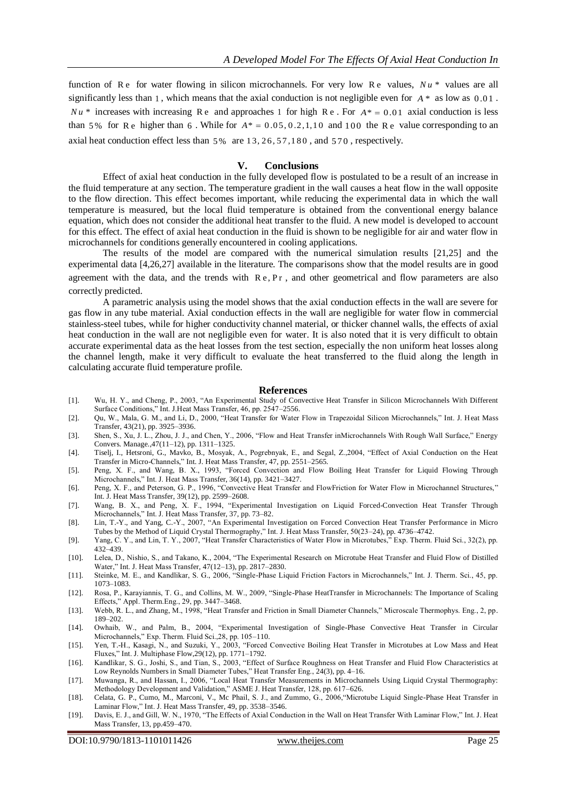function of Re for water flowing in silicon microchannels. For very low Re values,  $Nu^*$  values are all significantly less than 1, which means that the axial conduction is not negligible even for  $A^*$  as low as  $0.01$ .  $Nu^*$  increases with increasing Re and approaches 1 for high Re. For  $A^* = 0.01$  axial conduction is less than  $5\%$  for R e higher than  $6$ . While for  $A^* = 0.05, 0.2, 1, 10$  and  $100$  the R e value corresponding to an axial heat conduction effect less than 5% are 13, 26, 57, 180, and 570, respectively.

#### **V. Conclusions**

Effect of axial heat conduction in the fully developed flow is postulated to be a result of an increase in the fluid temperature at any section. The temperature gradient in the wall causes a heat flow in the wall opposite to the flow direction. This effect becomes important, while reducing the experimental data in which the wall temperature is measured, but the local fluid temperature is obtained from the conventional energy balance equation, which does not consider the additional heat transfer to the fluid. A new model is developed to account for this effect. The effect of axial heat conduction in the fluid is shown to be negligible for air and water flow in microchannels for conditions generally encountered in cooling applications.

The results of the model are compared with the numerical simulation results [21,25] and the experimental data [4,26,27] available in the literature. The comparisons show that the model results are in good agreement with the data, and the trends with Re, Pr, and other geometrical and flow parameters are also correctly predicted.

A parametric analysis using the model shows that the axial conduction effects in the wall are severe for gas flow in any tube material. Axial conduction effects in the wall are negligible for water flow in commercial stainless-steel tubes, while for higher conductivity channel material, or thicker channel walls, the effects of axial heat conduction in the wall are not negligible even for water. It is also noted that it is very difficult to obtain accurate experimental data as the heat losses from the test section, especially the non uniform heat losses along the channel length, make it very difficult to evaluate the heat transferred to the fluid along the length in calculating accurate fluid temperature profile.

#### **References**

- [1]. Wu, H. Y., and Cheng, P., 2003, "An Experimental Study of Convective Heat Transfer in Silicon Microchannels With Different Surface Conditions," Int. J.Heat Mass Transfer, 46, pp. 2547–2556.
- [2]. Qu, W., Mala, G. M., and Li, D., 2000, "Heat Transfer for Water Flow in Trapezoidal Silicon Microchannels," Int. J. Heat Mass Transfer, 43(21), pp. 3925–3936.
- [3]. Shen, S., Xu, J. L., Zhou, J. J., and Chen, Y., 2006, "Flow and Heat Transfer inMicrochannels With Rough Wall Surface," Energy Convers. Manage.,47(11–12), pp. 1311–1325.
- [4]. Tiselj, I., Hetsroni, G., Mavko, B., Mosyak, A., Pogrebnyak, E., and Segal, Z.,2004, "Effect of Axial Conduction on the Heat Transfer in Micro-Channels," Int. J. Heat Mass Transfer, 47, pp. 2551–2565.
- [5]. Peng, X. F., and Wang, B. X., 1993, "Forced Convection and Flow Boiling Heat Transfer for Liquid Flowing Through Microchannels," Int. J. Heat Mass Transfer, 36(14), pp. 3421–3427.
- [6]. Peng, X. F., and Peterson, G. P., 1996, "Convective Heat Transfer and FlowFriction for Water Flow in Microchannel Structures," Int. J. Heat Mass Transfer, 39(12), pp. 2599–2608.
- [7]. Wang, B. X., and Peng, X. F., 1994, "Experimental Investigation on Liquid Forced-Convection Heat Transfer Through Microchannels," Int. J. Heat Mass Transfer, 37, pp. 73–82.
- [8]. Lin, T.-Y., and Yang, C.-Y., 2007, "An Experimental Investigation on Forced Convection Heat Transfer Performance in Micro Tubes by the Method of Liquid Crystal Thermography," Int. J. Heat Mass Transfer, 50(23–24), pp. 4736–4742.
- [9]. Yang, C. Y., and Lin, T. Y., 2007, "Heat Transfer Characteristics of Water Flow in Microtubes," Exp. Therm. Fluid Sci., 32(2), pp. 432–439.
- [10]. Lelea, D., Nishio, S., and Takano, K., 2004, "The Experimental Research on Microtube Heat Transfer and Fluid Flow of Distilled Water," Int. J. Heat Mass Transfer, 47(12–13), pp. 2817–2830.
- [11]. Steinke, M. E., and Kandlikar, S. G., 2006, "Single-Phase Liquid Friction Factors in Microchannels," Int. J. Therm. Sci., 45, pp. 1073–1083.
- [12]. Rosa, P., Karayiannis, T. G., and Collins, M. W., 2009, "Single-Phase HeatTransfer in Microchannels: The Importance of Scaling Effects," Appl. Therm.Eng., 29, pp. 3447–3468.
- [13]. Webb, R. L., and Zhang, M., 1998, "Heat Transfer and Friction in Small Diameter Channels," Microscale Thermophys. Eng., 2, pp. 189–202.
- [14]. Owhaib, W., and Palm, B., 2004, "Experimental Investigation of Single-Phase Convective Heat Transfer in Circular Microchannels," Exp. Therm. Fluid Sci.,28, pp. 105–110.
- [15]. Yen, T.-H., Kasagi, N., and Suzuki, Y., 2003, "Forced Convective Boiling Heat Transfer in Microtubes at Low Mass and Heat Fluxes," Int. J. Multiphase Flow,29(12), pp. 1771–1792.
- [16]. Kandlikar, S. G., Joshi, S., and Tian, S., 2003, "Effect of Surface Roughness on Heat Transfer and Fluid Flow Characteristics at Low Reynolds Numbers in Small Diameter Tubes," Heat Transfer Eng., 24(3), pp. 4–16.
- [17]. Muwanga, R., and Hassan, I., 2006, "Local Heat Transfer Measurements in Microchannels Using Liquid Crystal Thermography: Methodology Development and Validation," ASME J. Heat Transfer, 128, pp. 617–626.
- [18]. Celata, G. P., Cumo, M., Marconi, V., Mc Phail, S. J., and Zummo, G., 2006,"Microtube Liquid Single-Phase Heat Transfer in Laminar Flow," Int. J. Heat Mass Transfer, 49, pp. 3538–3546.
- [19]. Davis, E. J., and Gill, W. N., 1970, "The Effects of Axial Conduction in the Wall on Heat Transfer With Laminar Flow," Int. J. Heat Mass Transfer, 13, pp.459–470.